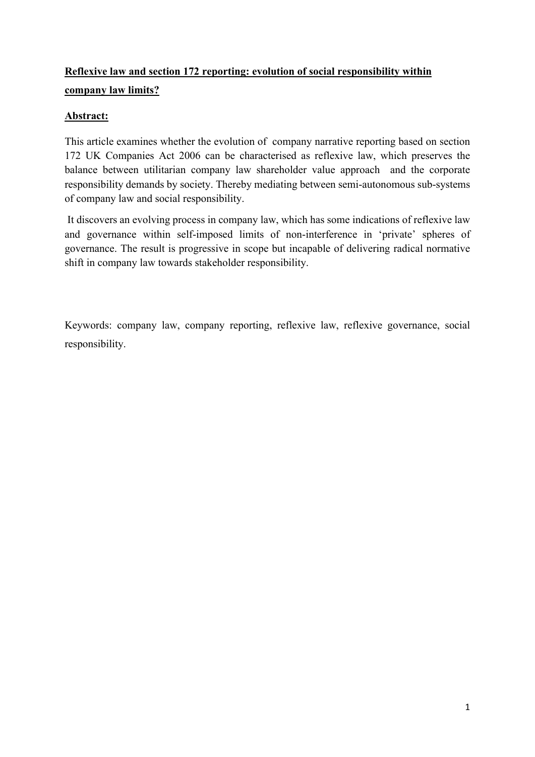# **Reflexive law and section 172 reporting: evolution of social responsibility within company law limits?**

# **Abstract:**

This article examines whether the evolution of company narrative reporting based on section 172 UK Companies Act 2006 can be characterised as reflexive law, which preserves the balance between utilitarian company law shareholder value approach and the corporate responsibility demands by society. Thereby mediating between semi-autonomous sub-systems of company law and social responsibility.

It discovers an evolving process in company law, which has some indications of reflexive law and governance within self-imposed limits of non-interference in 'private' spheres of governance. The result is progressive in scope but incapable of delivering radical normative shift in company law towards stakeholder responsibility.

Keywords: company law, company reporting, reflexive law, reflexive governance, social responsibility.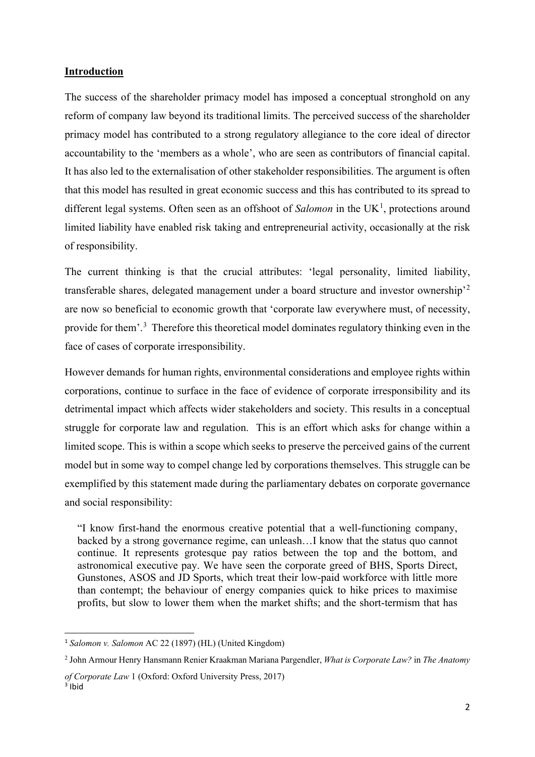## **Introduction**

The success of the shareholder primacy model has imposed a conceptual stronghold on any reform of company law beyond its traditional limits. The perceived success of the shareholder primacy model has contributed to a strong regulatory allegiance to the core ideal of director accountability to the 'members as a whole', who are seen as contributors of financial capital. It has also led to the externalisation of other stakeholder responsibilities. The argument is often that this model has resulted in great economic success and this has contributed to its spread to different legal systems. Often seen as an offshoot of *Salomon* in the UK<sup>[1](#page-1-0)</sup>, protections around limited liability have enabled risk taking and entrepreneurial activity, occasionally at the risk of responsibility.

The current thinking is that the crucial attributes: 'legal personality, limited liability, transferable shares, delegated management under a board structure and investor ownership'[2](#page-1-1) are now so beneficial to economic growth that 'corporate law everywhere must, of necessity, provide for them'.<sup>[3](#page-1-2)</sup> Therefore this theoretical model dominates regulatory thinking even in the face of cases of corporate irresponsibility.

However demands for human rights, environmental considerations and employee rights within corporations, continue to surface in the face of evidence of corporate irresponsibility and its detrimental impact which affects wider stakeholders and society. This results in a conceptual struggle for corporate law and regulation. This is an effort which asks for change within a limited scope. This is within a scope which seeks to preserve the perceived gains of the current model but in some way to compel change led by corporations themselves. This struggle can be exemplified by this statement made during the parliamentary debates on corporate governance and social responsibility:

"I know first-hand the enormous creative potential that a well-functioning company, backed by a strong governance regime, can unleash…I know that the status quo cannot continue. It represents grotesque pay ratios between the top and the bottom, and astronomical executive pay. We have seen the corporate greed of BHS, Sports Direct, Gunstones, ASOS and JD Sports, which treat their low-paid workforce with little more than contempt; the behaviour of energy companies quick to hike prices to maximise profits, but slow to lower them when the market shifts; and the short-termism that has

<span id="page-1-0"></span><sup>1</sup> *Salomon v. Salomon* AC 22 (1897) (HL) (United Kingdom)

<span id="page-1-1"></span><sup>2</sup> John Armour Henry Hansmann Renier Kraakman Mariana Pargendler, *What is Corporate Law?* in *The Anatomy* 

*of Corporate Law* 1 (Oxford: Oxford University Press, 2017)

<span id="page-1-2"></span> $3$  Ibid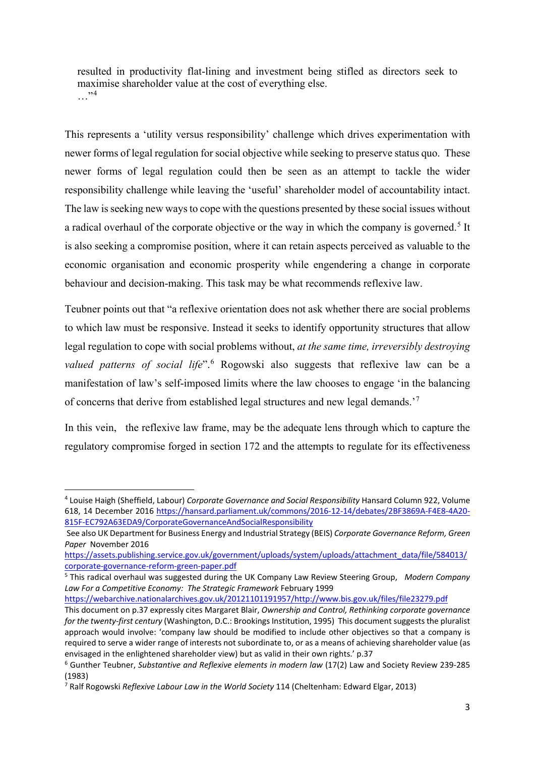resulted in productivity flat-lining and investment being stifled as directors seek to maximise shareholder value at the cost of everything else.  $\cdot$ 

This represents a 'utility versus responsibility' challenge which drives experimentation with newer forms of legal regulation for social objective while seeking to preserve status quo. These newer forms of legal regulation could then be seen as an attempt to tackle the wider responsibility challenge while leaving the 'useful' shareholder model of accountability intact. The law is seeking new ways to cope with the questions presented by these social issues without a radical overhaul of the corporate objective or the way in which the company is governed.<sup>[5](#page-2-1)</sup> It is also seeking a compromise position, where it can retain aspects perceived as valuable to the economic organisation and economic prosperity while engendering a change in corporate behaviour and decision-making. This task may be what recommends reflexive law.

Teubner points out that "a reflexive orientation does not ask whether there are social problems to which law must be responsive. Instead it seeks to identify opportunity structures that allow legal regulation to cope with social problems without, *at the same time, irreversibly destroying valued patterns of social life*".[6](#page-2-2) Rogowski also suggests that reflexive law can be a manifestation of law's self-imposed limits where the law chooses to engage 'in the balancing of concerns that derive from established legal structures and new legal demands.'[7](#page-2-3)

In this vein, the reflexive law frame, may be the adequate lens through which to capture the regulatory compromise forged in section 172 and the attempts to regulate for its effectiveness

[https://webarchive.nationalarchives.gov.uk/20121101191957/http://www.bis.gov.uk/files/file23279.pdf](https://webarchive.nationalarchives.gov.uk/20121101191957/http:/www.bis.gov.uk/files/file23279.pdf)

<span id="page-2-0"></span><sup>4</sup> Louise Haigh (Sheffield, Labour) *Corporate Governance and Social Responsibility* Hansard Column 922, Volume 618, 14 December 2016 [https://hansard.parliament.uk/commons/2016-12-14/debates/2BF3869A-F4E8-4A20-](https://hansard.parliament.uk/commons/2016-12-14/debates/2BF3869A-F4E8-4A20-815F-EC792A63EDA9/CorporateGovernanceAndSocialResponsibility) [815F-EC792A63EDA9/CorporateGovernanceAndSocialResponsibility](https://hansard.parliament.uk/commons/2016-12-14/debates/2BF3869A-F4E8-4A20-815F-EC792A63EDA9/CorporateGovernanceAndSocialResponsibility)

See also UK Department for Business Energy and Industrial Strategy (BEIS) *Corporate Governance Reform, Green Paper* November 2016

[https://assets.publishing.service.gov.uk/government/uploads/system/uploads/attachment\\_data/file/584013/](https://assets.publishing.service.gov.uk/government/uploads/system/uploads/attachment_data/file/584013/corporate-governance-reform-green-paper.pdf) [corporate-governance-reform-green-paper.pdf](https://assets.publishing.service.gov.uk/government/uploads/system/uploads/attachment_data/file/584013/corporate-governance-reform-green-paper.pdf)

<span id="page-2-1"></span><sup>5</sup> This radical overhaul was suggested during the UK Company Law Review Steering Group, *Modern Company Law For a Competitive Economy: The Strategic Framework* February 1999

This document on p.37 expressly cites Margaret Blair, *Ownership and Control, Rethinking corporate governance for the twenty-first century* (Washington, D.C.: Brookings Institution, 1995) This document suggests the pluralist approach would involve: 'company law should be modified to include other objectives so that a company is required to serve a wider range of interests not subordinate to, or as a means of achieving shareholder value (as envisaged in the enlightened shareholder view) but as valid in their own rights.' p.37

<span id="page-2-2"></span><sup>6</sup> Gunther Teubner, *Substantive and Reflexive elements in modern law* (17(2) Law and Society Review 239-285 (1983)

<span id="page-2-3"></span><sup>7</sup> Ralf Rogowski *Reflexive Labour Law in the World Society* 114 (Cheltenham: Edward Elgar, 2013)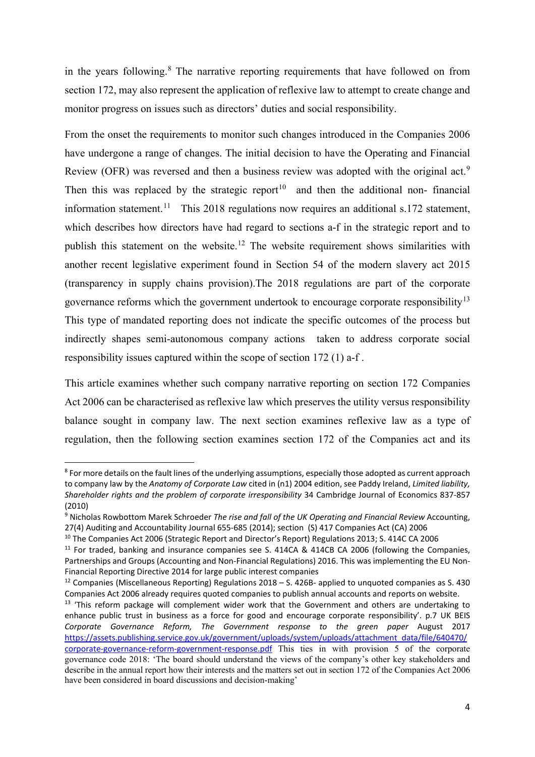in the years following.<sup>[8](#page-3-0)</sup> The narrative reporting requirements that have followed on from section 172, may also represent the application of reflexive law to attempt to create change and monitor progress on issues such as directors' duties and social responsibility.

From the onset the requirements to monitor such changes introduced in the Companies 2006 have undergone a range of changes. The initial decision to have the Operating and Financial Review (OFR) was reversed and then a business review was adopted with the original act.<sup>[9](#page-3-1)</sup> Then this was replaced by the strategic report<sup>[10](#page-3-2)</sup> and then the additional non- financial information statement.<sup>[11](#page-3-3)</sup> This 2018 regulations now requires an additional s.172 statement, which describes how directors have had regard to sections a-f in the strategic report and to publish this statement on the website.<sup>[12](#page-3-4)</sup> The website requirement shows similarities with another recent legislative experiment found in Section 54 of the modern slavery act 2015 (transparency in supply chains provision).The 2018 regulations are part of the corporate governance reforms which the government undertook to encourage corporate responsibility<sup>[13](#page-3-5)</sup> This type of mandated reporting does not indicate the specific outcomes of the process but indirectly shapes semi-autonomous company actions taken to address corporate social responsibility issues captured within the scope of section 172 (1) a-f .

This article examines whether such company narrative reporting on section 172 Companies Act 2006 can be characterised as reflexive law which preserves the utility versus responsibility balance sought in company law. The next section examines reflexive law as a type of regulation, then the following section examines section 172 of the Companies act and its

<span id="page-3-0"></span><sup>&</sup>lt;sup>8</sup> For more details on the fault lines of the underlying assumptions, especially those adopted as current approach to company law by the *Anatomy of Corporate Law* cited in (n1) 2004 edition, see Paddy Ireland, *Limited liability, Shareholder rights and the problem of corporate irresponsibility* 34 Cambridge Journal of Economics 837-857 (2010)

<span id="page-3-1"></span><sup>9</sup> Nicholas Rowbottom Marek Schroeder *The rise and fall of the UK Operating and Financial Review* Accounting, 27(4) Auditing and Accountability Journal 655-685 (2014); section (S) 417 Companies Act (CA) 2006

<span id="page-3-2"></span><sup>10</sup> The Companies Act 2006 (Strategic Report and Director's Report) Regulations 2013; S. 414C CA 2006

<span id="page-3-3"></span><sup>&</sup>lt;sup>11</sup> For traded, banking and insurance companies see S. 414CA & 414CB CA 2006 (following the Companies, Partnerships and Groups (Accounting and Non-Financial Regulations) 2016. This was implementing the EU Non-Financial Reporting Directive 2014 for large public interest companies

<span id="page-3-4"></span><sup>&</sup>lt;sup>12</sup> Companies (Miscellaneous Reporting) Regulations  $2018 - S$ . 426B- applied to unquoted companies as S. 430 Companies Act 2006 already requires quoted companies to publish annual accounts and reports on website.

<span id="page-3-5"></span><sup>&</sup>lt;sup>13</sup> 'This reform package will complement wider work that the Government and others are undertaking to enhance public trust in business as a force for good and encourage corporate responsibility'. p.7 UK BEIS *Corporate Governance Reform, The Government response to the green paper* August 2017 [https://assets.publishing.service.gov.uk/government/uploads/system/uploads/attachment\\_data/file/640470/](https://assets.publishing.service.gov.uk/government/uploads/system/uploads/attachment_data/file/640470/corporate-governance-reform-government-response.pdf) [corporate-governance-reform-government-response.pdf](https://assets.publishing.service.gov.uk/government/uploads/system/uploads/attachment_data/file/640470/corporate-governance-reform-government-response.pdf) This ties in with provision 5 of the corporate governance code 2018: 'The board should understand the views of the company's other key stakeholders and describe in the annual report how their interests and the matters set out in section 172 of the Companies Act 2006 have been considered in board discussions and decision-making'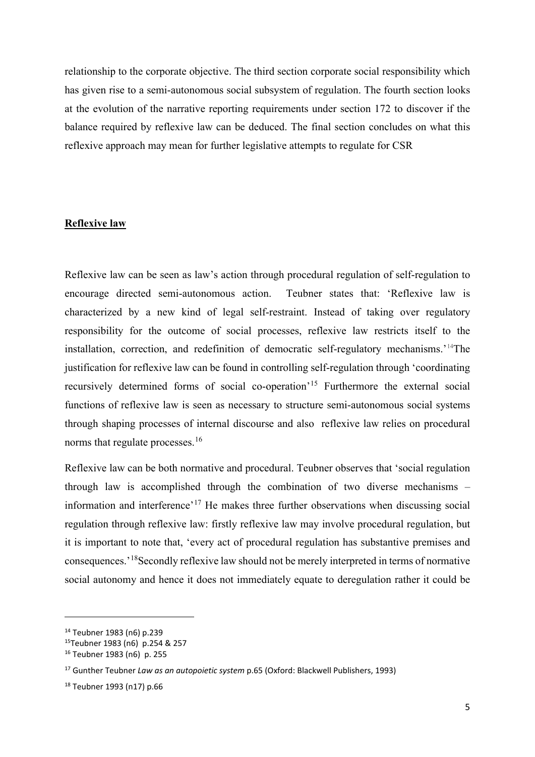relationship to the corporate objective. The third section corporate social responsibility which has given rise to a semi-autonomous social subsystem of regulation. The fourth section looks at the evolution of the narrative reporting requirements under section 172 to discover if the balance required by reflexive law can be deduced. The final section concludes on what this reflexive approach may mean for further legislative attempts to regulate for CSR

# **Reflexive law**

Reflexive law can be seen as law's action through procedural regulation of self-regulation to encourage directed semi-autonomous action. Teubner states that: 'Reflexive law is characterized by a new kind of legal self-restraint. Instead of taking over regulatory responsibility for the outcome of social processes, reflexive law restricts itself to the installation, correction, and redefinition of democratic self-regulatory mechanisms.'[14T](#page-4-0)he justification for reflexive law can be found in controlling self-regulation through 'coordinating recursively determined forms of social co-operation<sup>'[15](#page-4-1)</sup> Furthermore the external social functions of reflexive law is seen as necessary to structure semi-autonomous social systems through shaping processes of internal discourse and also reflexive law relies on procedural norms that regulate processes.<sup>[16](#page-4-2)</sup>

Reflexive law can be both normative and procedural. Teubner observes that 'social regulation through law is accomplished through the combination of two diverse mechanisms – information and interference'[17](#page-4-3) He makes three further observations when discussing social regulation through reflexive law: firstly reflexive law may involve procedural regulation, but it is important to note that, 'every act of procedural regulation has substantive premises and consequences.'[18S](#page-4-4)econdly reflexive law should not be merely interpreted in terms of normative social autonomy and hence it does not immediately equate to deregulation rather it could be

<span id="page-4-0"></span><sup>14</sup> Teubner 1983 (n6) p.239

<span id="page-4-1"></span><sup>15</sup>Teubner 1983 (n6) p.254 & 257

<span id="page-4-2"></span><sup>16</sup> Teubner 1983 (n6) p. 255

<span id="page-4-3"></span><sup>17</sup> Gunther Teubner *Law as an autopoietic system* p.65 (Oxford: Blackwell Publishers, 1993)

<span id="page-4-4"></span><sup>18</sup> Teubner 1993 (n17) p.66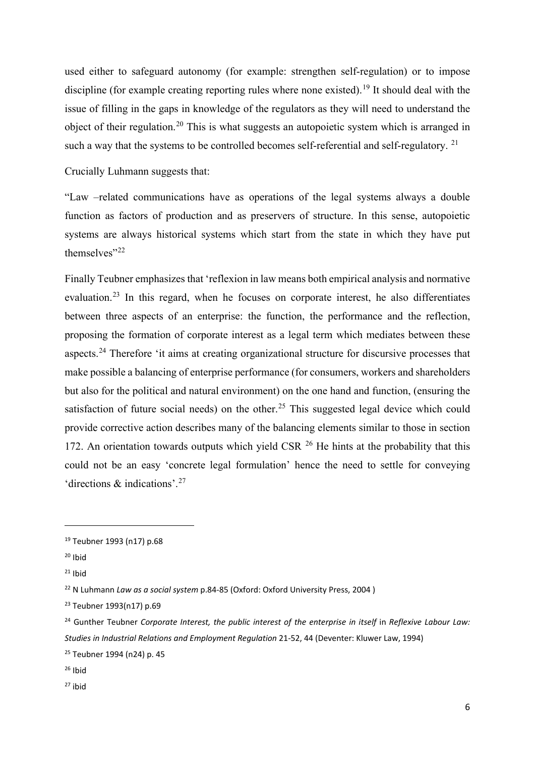used either to safeguard autonomy (for example: strengthen self-regulation) or to impose discipline (for example creating reporting rules where none existed).<sup>[19](#page-5-0)</sup> It should deal with the issue of filling in the gaps in knowledge of the regulators as they will need to understand the object of their regulation.[20](#page-5-1) This is what suggests an autopoietic system which is arranged in such a way that the systems to be controlled becomes self-referential and self-regulatory.<sup>[21](#page-5-2)</sup>

Crucially Luhmann suggests that:

"Law –related communications have as operations of the legal systems always a double function as factors of production and as preservers of structure. In this sense, autopoietic systems are always historical systems which start from the state in which they have put themselves"<sup>[22](#page-5-3)</sup>

Finally Teubner emphasizes that 'reflexion in law means both empirical analysis and normative evaluation.[23](#page-5-4) In this regard, when he focuses on corporate interest, he also differentiates between three aspects of an enterprise: the function, the performance and the reflection, proposing the formation of corporate interest as a legal term which mediates between these aspects.[24](#page-5-5) Therefore 'it aims at creating organizational structure for discursive processes that make possible a balancing of enterprise performance (for consumers, workers and shareholders but also for the political and natural environment) on the one hand and function, (ensuring the satisfaction of future social needs) on the other.<sup>[25](#page-5-6)</sup> This suggested legal device which could provide corrective action describes many of the balancing elements similar to those in section 172. An orientation towards outputs which yield CSR  $^{26}$  $^{26}$  $^{26}$  He hints at the probability that this could not be an easy 'concrete legal formulation' hence the need to settle for conveying 'directions & indications'.[27](#page-5-8)

<span id="page-5-8"></span> $27$  ibid

<span id="page-5-0"></span><sup>19</sup> Teubner 1993 (n17) p.68

<span id="page-5-1"></span> $20$  Ibid

<span id="page-5-2"></span> $21$  Ibid

<span id="page-5-3"></span><sup>22</sup> N Luhmann *Law as a social system* p.84-85 (Oxford: Oxford University Press, 2004 )

<span id="page-5-4"></span><sup>23</sup> Teubner 1993(n17) p.69

<span id="page-5-5"></span><sup>24</sup> Gunther Teubner *Corporate Interest, the public interest of the enterprise in itself* in *Reflexive Labour Law: Studies in Industrial Relations and Employment Regulation* 21-52, 44 (Deventer: Kluwer Law, 1994)

<span id="page-5-6"></span><sup>25</sup> Teubner 1994 (n24) p. 45

<span id="page-5-7"></span> $26$  Ihid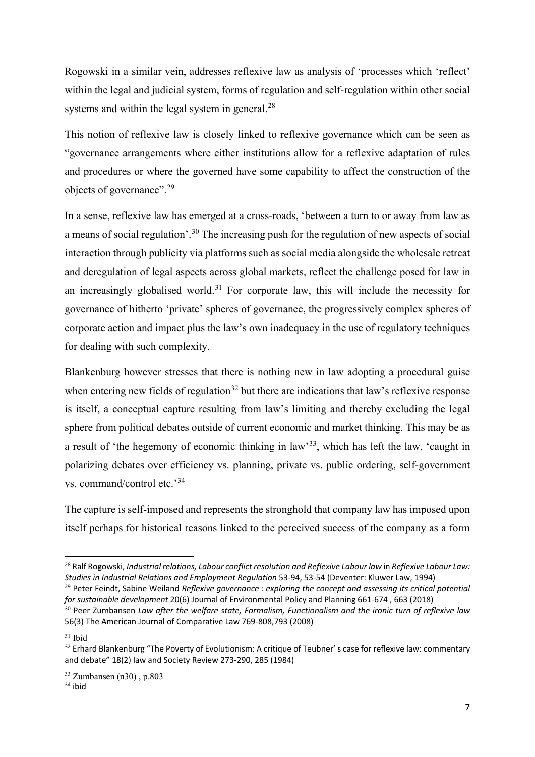Rogowski in a similar vein, addresses reflexive law as analysis of 'processes which 'reflect' within the legal and judicial system, forms of regulation and self-regulation within other social systems and within the legal system in general.<sup>[28](#page-6-0)</sup>

This notion of reflexive law is closely linked to reflexive governance which can be seen as "governance arrangements where either institutions allow for a reflexive adaptation of rules and procedures or where the governed have some capability to affect the construction of the objects of governance".[29](#page-6-1)

In a sense, reflexive law has emerged at a cross-roads, 'between a turn to or away from law as a means of social regulation'.<sup>[30](#page-6-2)</sup> The increasing push for the regulation of new aspects of social interaction through publicity via platforms such as social media alongside the wholesale retreat and deregulation of legal aspects across global markets, reflect the challenge posed for law in an increasingly globalised world.<sup>[31](#page-6-3)</sup> For corporate law, this will include the necessity for governance of hitherto 'private' spheres of governance, the progressively complex spheres of corporate action and impact plus the law's own inadequacy in the use of regulatory techniques for dealing with such complexity.

Blankenburg however stresses that there is nothing new in law adopting a procedural guise when entering new fields of regulation<sup>[32](#page-6-4)</sup> but there are indications that law's reflexive response is itself, a conceptual capture resulting from law's limiting and thereby excluding the legal sphere from political debates outside of current economic and market thinking. This may be as a result of 'the hegemony of economic thinking in law'[33](#page-6-5), which has left the law, 'caught in polarizing debates over efficiency vs. planning, private vs. public ordering, self-government vs. command/control etc.'[34](#page-6-6)

The capture is self-imposed and represents the stronghold that company law has imposed upon itself perhaps for historical reasons linked to the perceived success of the company as a form

<span id="page-6-0"></span><sup>&</sup>lt;sup>28</sup> Ralf Rogowski, *Industrial relations, Labour conflict resolution and Reflexive Labour law* in *Reflexive Labour Law:*<br>*Studies in Industrial Relations and Emplovment Reaulation 53-94. 53-54 (Deventer: Kluwer Law. 1994* 

<span id="page-6-1"></span><sup>&</sup>lt;sup>29</sup> Peter Feindt, Sabine Weiland Reflexive governance : exploring the concept and assessing its critical potential *for sustainable development* 20(6) Journal of Environmental Policy and Planning 661-674 , 663 (2018)

<span id="page-6-2"></span><sup>&</sup>lt;sup>30</sup> Peer Zumbansen Law after the welfare state, Formalism, Functionalism and the ironic turn of reflexive law 56(3) The American Journal of Comparative Law 769-808,793 (2008)

<span id="page-6-3"></span> $31$  Ibid

<span id="page-6-4"></span><sup>&</sup>lt;sup>32</sup> Erhard Blankenburg "The Poverty of Evolutionism: A critique of Teubner' s case for reflexive law: commentary and debate" 18(2) law and Society Review 273-290, 285 (1984)

<span id="page-6-6"></span><span id="page-6-5"></span> $34$  ibid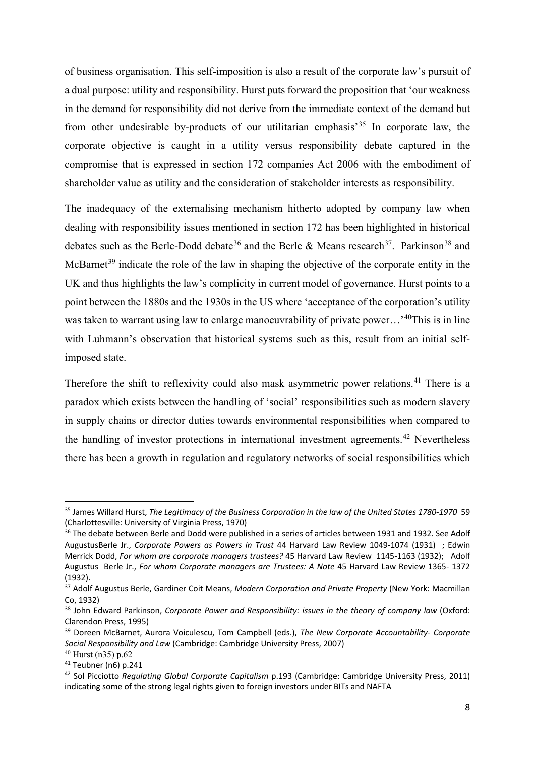of business organisation. This self-imposition is also a result of the corporate law's pursuit of a dual purpose: utility and responsibility. Hurst puts forward the proposition that 'our weakness in the demand for responsibility did not derive from the immediate context of the demand but from other undesirable by-products of our utilitarian emphasis<sup>[35](#page-7-0)</sup> In corporate law, the corporate objective is caught in a utility versus responsibility debate captured in the compromise that is expressed in section 172 companies Act 2006 with the embodiment of shareholder value as utility and the consideration of stakeholder interests as responsibility.

The inadequacy of the externalising mechanism hitherto adopted by company law when dealing with responsibility issues mentioned in section 172 has been highlighted in historical debates such as the Berle-Dodd debate<sup>[36](#page-7-1)</sup> and the Berle & Means research<sup>[37](#page-7-2)</sup>. Parkinson<sup>[38](#page-7-3)</sup> and McBarnet<sup>[39](#page-7-4)</sup> indicate the role of the law in shaping the objective of the corporate entity in the UK and thus highlights the law's complicity in current model of governance. Hurst points to a point between the 1880s and the 1930s in the US where 'acceptance of the corporation's utility was taken to warrant using law to enlarge manoeuvrability of private power...'<sup>[40](#page-7-5)</sup>This is in line with Luhmann's observation that historical systems such as this, result from an initial selfimposed state.

Therefore the shift to reflexivity could also mask asymmetric power relations.<sup>[41](#page-7-6)</sup> There is a paradox which exists between the handling of 'social' responsibilities such as modern slavery in supply chains or director duties towards environmental responsibilities when compared to the handling of investor protections in international investment agreements.<sup>[42](#page-7-7)</sup> Nevertheless there has been a growth in regulation and regulatory networks of social responsibilities which

<span id="page-7-0"></span><sup>35</sup> James Willard Hurst, *The Legitimacy of the Business Corporation in the law of the United States 1780-1970* 59 (Charlottesville: University of Virginia Press, 1970)<br><sup>36</sup> The debate between Berle and Dodd were published in a series of articles between 1931 and 1932. See Adolf

<span id="page-7-1"></span>AugustusBerle Jr., *Corporate Powers as Powers in Trust* 44 Harvard Law Review 1049-1074 (1931) ; Edwin Merrick Dodd, *For whom are corporate managers trustees?* 45 Harvard Law Review 1145-1163 (1932); Adolf Augustus Berle Jr., *For whom Corporate managers are Trustees: A Note* 45 Harvard Law Review 1365- 1372 (1932).

<span id="page-7-2"></span><sup>37</sup> Adolf Augustus Berle, Gardiner Coit Means, *Modern Corporation and Private Property* (New York: Macmillan Co, 1932)

<span id="page-7-3"></span><sup>38</sup> John Edward Parkinson, *Corporate Power and Responsibility: issues in the theory of company law* (Oxford: Clarendon Press, 1995)

<span id="page-7-4"></span><sup>39</sup> Doreen McBarnet, Aurora Voiculescu, Tom Campbell (eds.), *The New Corporate Accountability- Corporate Social Responsibility and Law* (Cambridge: Cambridge University Press, 2007)

<span id="page-7-5"></span><sup>40</sup> Hurst (n35) p.62

<span id="page-7-6"></span><sup>41</sup> Teubner (n6) p.241

<span id="page-7-7"></span><sup>42</sup> Sol Picciotto *Regulating Global Corporate Capitalism* p.193 (Cambridge: Cambridge University Press, 2011) indicating some of the strong legal rights given to foreign investors under BITs and NAFTA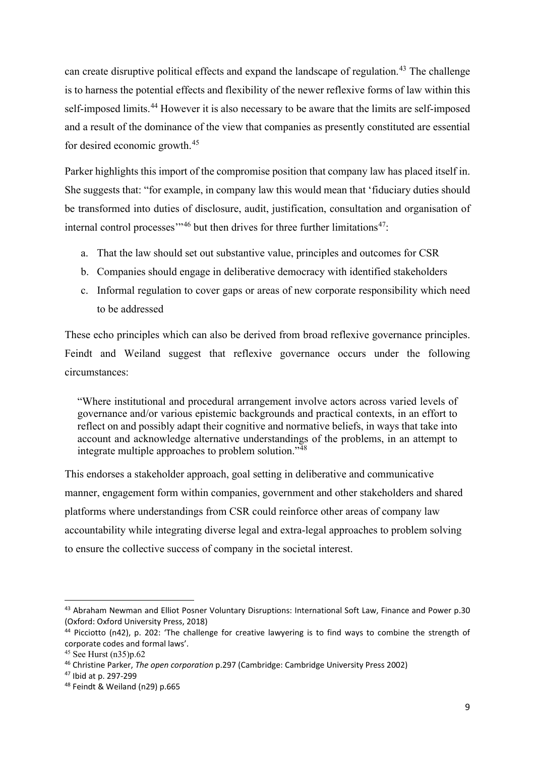can create disruptive political effects and expand the landscape of regulation.<sup>[43](#page-8-0)</sup> The challenge is to harness the potential effects and flexibility of the newer reflexive forms of law within this self-imposed limits.<sup>[44](#page-8-1)</sup> However it is also necessary to be aware that the limits are self-imposed and a result of the dominance of the view that companies as presently constituted are essential for desired economic growth.[45](#page-8-2)

Parker highlights this import of the compromise position that company law has placed itself in. She suggests that: "for example, in company law this would mean that 'fiduciary duties should be transformed into duties of disclosure, audit, justification, consultation and organisation of internal control processes"<sup>[46](#page-8-3)</sup> but then drives for three further limitations<sup>[47](#page-8-4)</sup>:

- a. That the law should set out substantive value, principles and outcomes for CSR
- b. Companies should engage in deliberative democracy with identified stakeholders
- c. Informal regulation to cover gaps or areas of new corporate responsibility which need to be addressed

These echo principles which can also be derived from broad reflexive governance principles. Feindt and Weiland suggest that reflexive governance occurs under the following circumstances:

"Where institutional and procedural arrangement involve actors across varied levels of governance and/or various epistemic backgrounds and practical contexts, in an effort to reflect on and possibly adapt their cognitive and normative beliefs, in ways that take into account and acknowledge alternative understandings of the problems, in an attempt to integrate multiple approaches to problem solution."<sup>[48](#page-8-5)</sup>

This endorses a stakeholder approach, goal setting in deliberative and communicative manner, engagement form within companies, government and other stakeholders and shared platforms where understandings from CSR could reinforce other areas of company law accountability while integrating diverse legal and extra-legal approaches to problem solving to ensure the collective success of company in the societal interest.

<span id="page-8-0"></span><sup>43</sup> Abraham Newman and Elliot Posner Voluntary Disruptions: International Soft Law, Finance and Power p.30 (Oxford: Oxford University Press, 2018)<br><sup>44</sup> Picciotto (n42), p. 202: 'The challenge for creative lawyering is to find ways to combine the strength of

<span id="page-8-1"></span>corporate codes and formal laws'.

<span id="page-8-2"></span><sup>45</sup> See Hurst (n35)p.62

<span id="page-8-3"></span><sup>&</sup>lt;sup>46</sup> Christine Parker, *The open corporation* p.297 (Cambridge: Cambridge University Press 2002)<br><sup>47</sup> Ibid at p. 297-299

<span id="page-8-5"></span><span id="page-8-4"></span><sup>48</sup> Feindt & Weiland (n29) p.665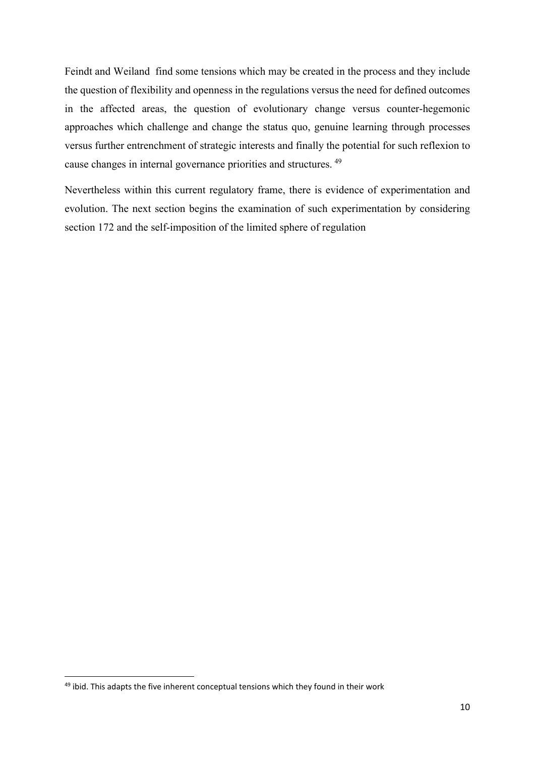Feindt and Weiland find some tensions which may be created in the process and they include the question of flexibility and openness in the regulations versus the need for defined outcomes in the affected areas, the question of evolutionary change versus counter-hegemonic approaches which challenge and change the status quo, genuine learning through processes versus further entrenchment of strategic interests and finally the potential for such reflexion to cause changes in internal governance priorities and structures. [49](#page-9-0)

Nevertheless within this current regulatory frame, there is evidence of experimentation and evolution. The next section begins the examination of such experimentation by considering section 172 and the self-imposition of the limited sphere of regulation

<span id="page-9-0"></span> $49$  ibid. This adapts the five inherent conceptual tensions which they found in their work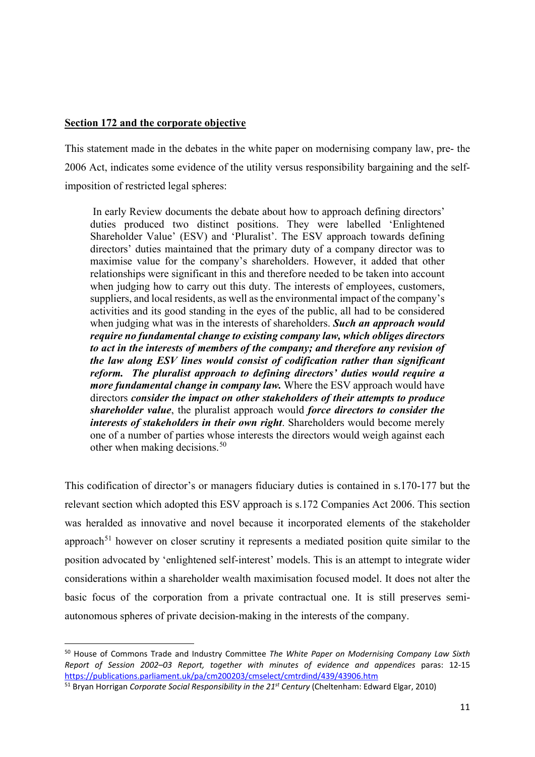# **Section 172 and the corporate objective**

This statement made in the debates in the white paper on modernising company law, pre- the 2006 Act, indicates some evidence of the utility versus responsibility bargaining and the selfimposition of restricted legal spheres:

In early Review documents the debate about how to approach defining directors' duties produced two distinct positions. They were labelled 'Enlightened Shareholder Value' (ESV) and 'Pluralist'. The ESV approach towards defining directors' duties maintained that the primary duty of a company director was to maximise value for the company's shareholders. However, it added that other relationships were significant in this and therefore needed to be taken into account when judging how to carry out this duty. The interests of employees, customers, suppliers, and local residents, as well as the environmental impact of the company's activities and its good standing in the eyes of the public, all had to be considered when judging what was in the interests of shareholders. *Such an approach would require no fundamental change to existing company law, which obliges directors to act in the interests of members of the company; and therefore any revision of the law along ESV lines would consist of codification rather than significant reform. The pluralist approach to defining directors' duties would require a more fundamental change in company law.* Where the ESV approach would have directors *consider the impact on other stakeholders of their attempts to produce shareholder value*, the pluralist approach would *force directors to consider the interests of stakeholders in their own right*. Shareholders would become merely one of a number of parties whose interests the directors would weigh against each other when making decisions.<sup>[50](#page-10-0)</sup>

This codification of director's or managers fiduciary duties is contained in s.170-177 but the relevant section which adopted this ESV approach is s.172 Companies Act 2006. This section was heralded as innovative and novel because it incorporated elements of the stakeholder approach<sup>[51](#page-10-1)</sup> however on closer scrutiny it represents a mediated position quite similar to the position advocated by 'enlightened self-interest' models. This is an attempt to integrate wider considerations within a shareholder wealth maximisation focused model. It does not alter the basic focus of the corporation from a private contractual one. It is still preserves semiautonomous spheres of private decision-making in the interests of the company.

<span id="page-10-0"></span><sup>50</sup> House of Commons Trade and Industry Committee *The White Paper on Modernising Company Law Sixth Report of Session 2002–03 Report, together with minutes of evidence and appendices* paras: 12-15 <https://publications.parliament.uk/pa/cm200203/cmselect/cmtrdind/439/43906.htm>

<span id="page-10-1"></span><sup>51</sup> Bryan Horrigan *Corporate Social Responsibility in the 21st Century* (Cheltenham: Edward Elgar, 2010)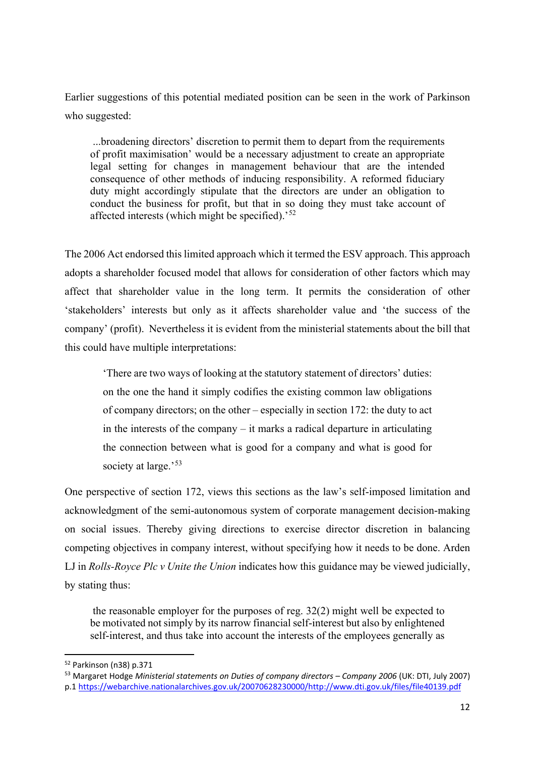Earlier suggestions of this potential mediated position can be seen in the work of Parkinson who suggested:

...broadening directors' discretion to permit them to depart from the requirements of profit maximisation' would be a necessary adjustment to create an appropriate legal setting for changes in management behaviour that are the intended consequence of other methods of inducing responsibility. A reformed fiduciary duty might accordingly stipulate that the directors are under an obligation to conduct the business for profit, but that in so doing they must take account of affected interests (which might be specified).'[52](#page-11-0)

The 2006 Act endorsed this limited approach which it termed the ESV approach. This approach adopts a shareholder focused model that allows for consideration of other factors which may affect that shareholder value in the long term. It permits the consideration of other 'stakeholders' interests but only as it affects shareholder value and 'the success of the company' (profit). Nevertheless it is evident from the ministerial statements about the bill that this could have multiple interpretations:

'There are two ways of looking at the statutory statement of directors' duties: on the one the hand it simply codifies the existing common law obligations of company directors; on the other – especially in section 172: the duty to act in the interests of the company – it marks a radical departure in articulating the connection between what is good for a company and what is good for society at large.'<sup>[53](#page-11-1)</sup>

One perspective of section 172, views this sections as the law's self-imposed limitation and acknowledgment of the semi-autonomous system of corporate management decision-making on social issues. Thereby giving directions to exercise director discretion in balancing competing objectives in company interest, without specifying how it needs to be done. Arden LJ in *Rolls-Royce Plc v Unite the Union* indicates how this guidance may be viewed judicially, by stating thus:

the reasonable employer for the purposes of reg. 32(2) might well be expected to be motivated not simply by its narrow financial self-interest but also by enlightened self-interest, and thus take into account the interests of the employees generally as

<span id="page-11-0"></span><sup>52</sup> Parkinson (n38) p.371

<span id="page-11-1"></span><sup>53</sup> Margaret Hodge *Ministerial statements on Duties of company directors – Company 2006* (UK: DTI, July 2007) p.1 [https://webarchive.nationalarchives.gov.uk/20070628230000/http://www.dti.gov.uk/files/file40139.pdf](https://webarchive.nationalarchives.gov.uk/20070628230000/http:/www.dti.gov.uk/files/file40139.pdf)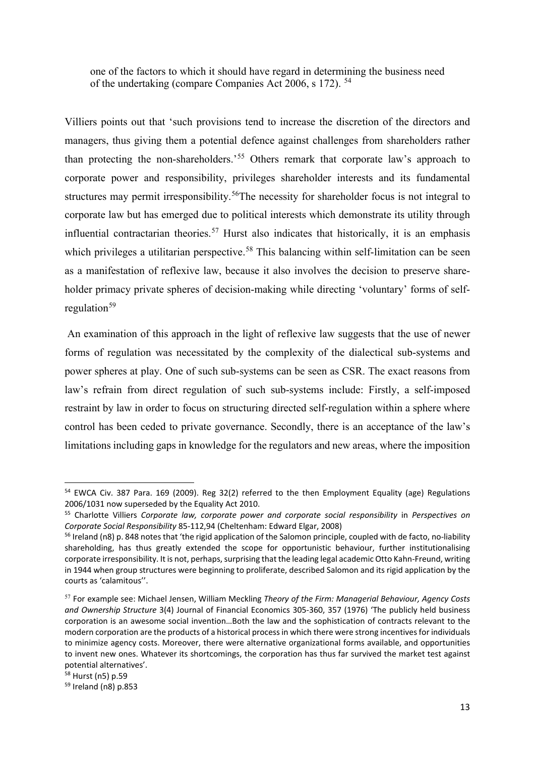one of the factors to which it should have regard in determining the business need of the undertaking (compare Companies Act 2006, s 172). [54](#page-12-0)

Villiers points out that 'such provisions tend to increase the discretion of the directors and managers, thus giving them a potential defence against challenges from shareholders rather than protecting the non-shareholders.<sup>[55](#page-12-1)</sup> Others remark that corporate law's approach to corporate power and responsibility, privileges shareholder interests and its fundamental structures may permit irresponsibility.<sup>56</sup>The necessity for shareholder focus is not integral to corporate law but has emerged due to political interests which demonstrate its utility through influential contractarian theories.<sup>[57](#page-12-3)</sup> Hurst also indicates that historically, it is an emphasis which privileges a utilitarian perspective.<sup>[58](#page-12-4)</sup> This balancing within self-limitation can be seen as a manifestation of reflexive law, because it also involves the decision to preserve shareholder primacy private spheres of decision-making while directing 'voluntary' forms of selfregulation $59$ 

An examination of this approach in the light of reflexive law suggests that the use of newer forms of regulation was necessitated by the complexity of the dialectical sub-systems and power spheres at play. One of such sub-systems can be seen as CSR. The exact reasons from law's refrain from direct regulation of such sub-systems include: Firstly, a self-imposed restraint by law in order to focus on structuring directed self-regulation within a sphere where control has been ceded to private governance. Secondly, there is an acceptance of the law's limitations including gaps in knowledge for the regulators and new areas, where the imposition

<span id="page-12-0"></span><sup>54</sup> EWCA Civ. 387 Para. 169 (2009). Reg 32(2) referred to the then Employment Equality (age) Regulations 2006/1031 now superseded by the Equality Act 2010.

<span id="page-12-1"></span><sup>55</sup> Charlotte Villiers *Corporate law, corporate power and corporate social responsibility* in *Perspectives on Corporate Social Responsibility* 85-112,94 (Cheltenham: Edward Elgar, 2008)

<span id="page-12-2"></span> $56$  Ireland (n8) p. 848 notes that 'the rigid application of the Salomon principle, coupled with de facto, no-liability shareholding, has thus greatly extended the scope for opportunistic behaviour, further institutionalising corporate irresponsibility. It is not, perhaps, surprising that the leading legal academic Otto Kahn-Freund, writing in 1944 when group structures were beginning to proliferate, described Salomon and its rigid application by the courts as 'calamitous''.

<span id="page-12-3"></span><sup>57</sup> For example see: Michael Jensen, William Meckling *Theory of the Firm: Managerial Behaviour, Agency Costs and Ownership Structure* 3(4) Journal of Financial Economics 305-360, 357 (1976) 'The publicly held business corporation is an awesome social invention…Both the law and the sophistication of contracts relevant to the modern corporation are the products of a historical process in which there were strong incentives for individuals to minimize agency costs. Moreover, there were alternative organizational forms available, and opportunities to invent new ones. Whatever its shortcomings, the corporation has thus far survived the market test against potential alternatives'.

<span id="page-12-4"></span><sup>58</sup> Hurst (n5) p.59

<span id="page-12-5"></span><sup>59</sup> Ireland (n8) p.853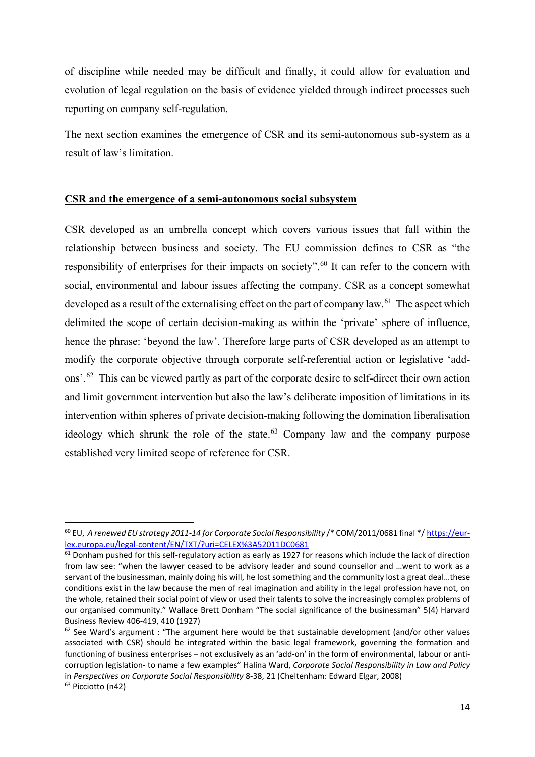of discipline while needed may be difficult and finally, it could allow for evaluation and evolution of legal regulation on the basis of evidence yielded through indirect processes such reporting on company self-regulation.

The next section examines the emergence of CSR and its semi-autonomous sub-system as a result of law's limitation.

#### **CSR and the emergence of a semi-autonomous social subsystem**

CSR developed as an umbrella concept which covers various issues that fall within the relationship between business and society. The EU commission defines to CSR as "the responsibility of enterprises for their impacts on society".<sup>[60](#page-13-0)</sup> It can refer to the concern with social, environmental and labour issues affecting the company. CSR as a concept somewhat developed as a result of the externalising effect on the part of company law.<sup>[61](#page-13-1)</sup> The aspect which delimited the scope of certain decision-making as within the 'private' sphere of influence, hence the phrase: 'beyond the law'. Therefore large parts of CSR developed as an attempt to modify the corporate objective through corporate self-referential action or legislative 'add-ons'.<sup>[62](#page-13-2)</sup> This can be viewed partly as part of the corporate desire to self-direct their own action and limit government intervention but also the law's deliberate imposition of limitations in its intervention within spheres of private decision-making following the domination liberalisation ideology which shrunk the role of the state.<sup>[63](#page-13-3)</sup> Company law and the company purpose established very limited scope of reference for CSR.

<span id="page-13-0"></span><sup>&</sup>lt;sup>60</sup> EU, A renewed EU strategy 2011-14 for Corporate Social Responsibility /\* COM/2011/0681 final \*/ [https://eur](https://eur-lex.europa.eu/legal-content/EN/TXT/?uri=CELEX%3A52011DC0681)[lex.europa.eu/legal-content/EN/TXT/?uri=CELEX%3A52011DC0681](https://eur-lex.europa.eu/legal-content/EN/TXT/?uri=CELEX%3A52011DC0681)

<span id="page-13-1"></span> $61$  Donham pushed for this self-regulatory action as early as 1927 for reasons which include the lack of direction from law see: "when the lawyer ceased to be advisory leader and sound counsellor and …went to work as a servant of the businessman, mainly doing his will, he lost something and the community lost a great deal…these conditions exist in the law because the men of real imagination and ability in the legal profession have not, on the whole, retained their social point of view or used their talents to solve the increasingly complex problems of our organised community." Wallace Brett Donham "The social significance of the businessman" 5(4) Harvard Business Review 406-419, 410 (1927)

<span id="page-13-3"></span><span id="page-13-2"></span> $62$  See Ward's argument : "The argument here would be that sustainable development (and/or other values associated with CSR) should be integrated within the basic legal framework, governing the formation and functioning of business enterprises – not exclusively as an 'add-on' in the form of environmental, labour or anticorruption legislation- to name a few examples" Halina Ward, *Corporate Social Responsibility in Law and Policy* in *Perspectives on Corporate Social Responsibility* 8-38, 21 (Cheltenham: Edward Elgar, 2008)<br><sup>63</sup> Picciotto (n42)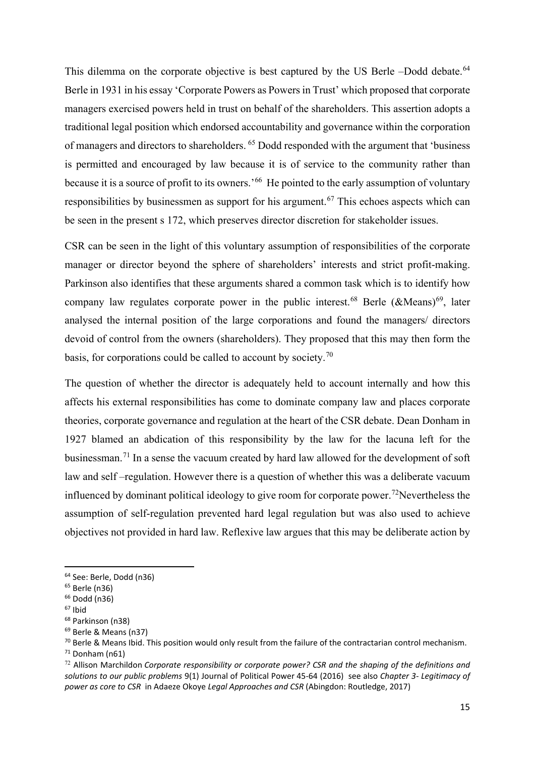This dilemma on the corporate objective is best captured by the US Berle –Dodd debate.<sup>[64](#page-14-0)</sup> Berle in 1931 in his essay 'Corporate Powers as Powers in Trust' which proposed that corporate managers exercised powers held in trust on behalf of the shareholders. This assertion adopts a traditional legal position which endorsed accountability and governance within the corporation of managers and directors to shareholders. [65](#page-14-1) Dodd responded with the argument that 'business is permitted and encouraged by law because it is of service to the community rather than because it is a source of profit to its owners.<sup>66</sup> He pointed to the early assumption of voluntary responsibilities by businessmen as support for his argument.<sup>[67](#page-14-3)</sup> This echoes aspects which can be seen in the present s 172, which preserves director discretion for stakeholder issues.

CSR can be seen in the light of this voluntary assumption of responsibilities of the corporate manager or director beyond the sphere of shareholders' interests and strict profit-making. Parkinson also identifies that these arguments shared a common task which is to identify how company law regulates corporate power in the public interest.<sup>[68](#page-14-4)</sup> Berle (&Means)<sup>[69](#page-14-5)</sup>, later analysed the internal position of the large corporations and found the managers/ directors devoid of control from the owners (shareholders). They proposed that this may then form the basis, for corporations could be called to account by society.[70](#page-14-6)

The question of whether the director is adequately held to account internally and how this affects his external responsibilities has come to dominate company law and places corporate theories, corporate governance and regulation at the heart of the CSR debate. Dean Donham in 1927 blamed an abdication of this responsibility by the law for the lacuna left for the businessman.[71](#page-14-7) In a sense the vacuum created by hard law allowed for the development of soft law and self –regulation. However there is a question of whether this was a deliberate vacuum influenced by dominant political ideology to give room for corporate power.<sup>[72](#page-14-8)</sup>Nevertheless the assumption of self-regulation prevented hard legal regulation but was also used to achieve objectives not provided in hard law. Reflexive law argues that this may be deliberate action by

<span id="page-14-0"></span><sup>64</sup> See: Berle, Dodd (n36)

<span id="page-14-1"></span><sup>65</sup> Berle (n36)

<span id="page-14-2"></span><sup>66</sup> Dodd (n36)

<span id="page-14-3"></span> $67$  Ibid

<span id="page-14-4"></span><sup>68</sup> Parkinson (n38)

<span id="page-14-5"></span><sup>69</sup> Berle & Means (n37)

<span id="page-14-6"></span><sup>&</sup>lt;sup>70</sup> Berle & Means Ibid. This position would only result from the failure of the contractarian control mechanism.

<span id="page-14-7"></span> $71$  Donham (n61)

<span id="page-14-8"></span><sup>72</sup> Allison Marchildon *Corporate responsibility or corporate power? CSR and the shaping of the definitions and solutions to our public problems* 9(1) Journal of Political Power 45-64 (2016) see also *Chapter 3- Legitimacy of power as core to CSR* in Adaeze Okoye *Legal Approaches and CSR* (Abingdon: Routledge, 2017)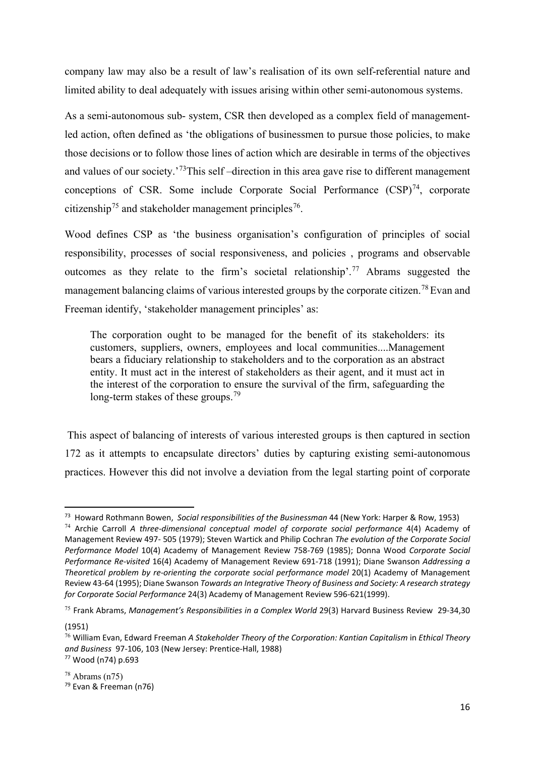company law may also be a result of law's realisation of its own self-referential nature and limited ability to deal adequately with issues arising within other semi-autonomous systems.

As a semi-autonomous sub- system, CSR then developed as a complex field of managementled action, often defined as 'the obligations of businessmen to pursue those policies, to make those decisions or to follow those lines of action which are desirable in terms of the objectives and values of our society.<sup>'73</sup>This self-direction in this area gave rise to different management conceptions of CSR. Some include Corporate Social Performance  $(CSP)^{74}$  $(CSP)^{74}$  $(CSP)^{74}$ , corporate citizenship<sup>[75](#page-15-2)</sup> and stakeholder management principles<sup>[76](#page-15-3)</sup>.

Wood defines CSP as 'the business organisation's configuration of principles of social responsibility, processes of social responsiveness, and policies , programs and observable outcomes as they relate to the firm's societal relationship'. [77](#page-15-4) Abrams suggested the management balancing claims of various interested groups by the corporate citizen.<sup>[78](#page-15-5)</sup> Evan and Freeman identify, 'stakeholder management principles' as:

The corporation ought to be managed for the benefit of its stakeholders: its customers, suppliers, owners, employees and local communities....Management bears a fiduciary relationship to stakeholders and to the corporation as an abstract entity. It must act in the interest of stakeholders as their agent, and it must act in the interest of the corporation to ensure the survival of the firm, safeguarding the long-term stakes of these groups.<sup>[79](#page-15-6)</sup>

This aspect of balancing of interests of various interested groups is then captured in section 172 as it attempts to encapsulate directors' duties by capturing existing semi-autonomous practices. However this did not involve a deviation from the legal starting point of corporate

(1951)

<span id="page-15-0"></span><sup>73</sup> Howard Rothmann Bowen, *Social responsibilities of the Businessman* 44 (New York: Harper & Row, 1953)

<span id="page-15-1"></span><sup>74</sup> Archie Carroll *A three-dimensional conceptual model of corporate social performance* 4(4) Academy of Management Review 497- 505 (1979); Steven Wartick and Philip Cochran *The evolution of the Corporate Social Performance Model* 10(4) Academy of Management Review 758-769 (1985); Donna Wood *Corporate Social Performance Re-visited* 16(4) Academy of Management Review 691-718 (1991); Diane Swanson *Addressing a Theoretical problem by re-orienting the corporate social performance model* 20(1) Academy of Management Review 43-64 (1995); Diane Swanson *Towards an Integrative Theory of Business and Society: A research strategy for Corporate Social Performance* 24(3) Academy of Management Review 596-621(1999).

<span id="page-15-2"></span><sup>75</sup> Frank Abrams, *Management's Responsibilities in a Complex World* 29(3) Harvard Business Review 29-34,30

<span id="page-15-3"></span><sup>76</sup> William Evan, Edward Freeman *A Stakeholder Theory of the Corporation: Kantian Capitalism* in *Ethical Theory and Business* 97-106, 103 (New Jersey: Prentice-Hall, 1988) 77 Wood (n74) p.693

<span id="page-15-6"></span><span id="page-15-5"></span><span id="page-15-4"></span> $78$  Abrams (n $75$ ) <sup>79</sup> Evan & Freeman (n76)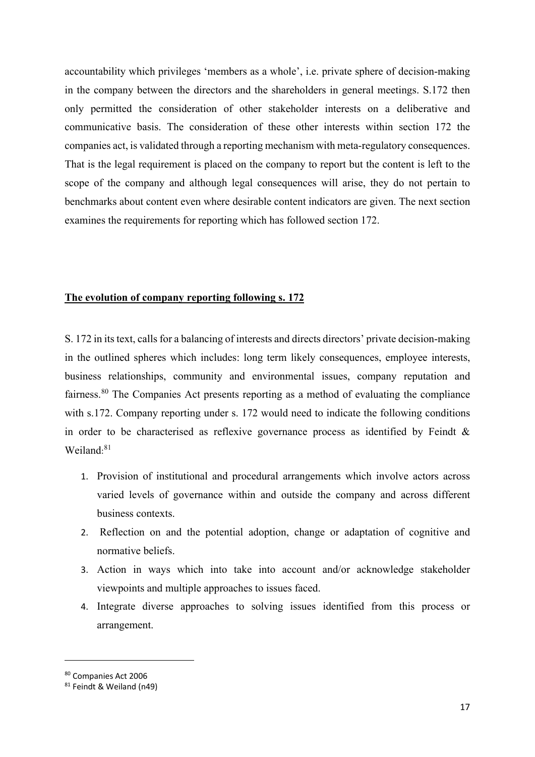accountability which privileges 'members as a whole', i.e. private sphere of decision-making in the company between the directors and the shareholders in general meetings. S.172 then only permitted the consideration of other stakeholder interests on a deliberative and communicative basis. The consideration of these other interests within section 172 the companies act, is validated through a reporting mechanism with meta-regulatory consequences. That is the legal requirement is placed on the company to report but the content is left to the scope of the company and although legal consequences will arise, they do not pertain to benchmarks about content even where desirable content indicators are given. The next section examines the requirements for reporting which has followed section 172.

## **The evolution of company reporting following s. 172**

S. 172 in its text, calls for a balancing of interests and directs directors' private decision-making in the outlined spheres which includes: long term likely consequences, employee interests, business relationships, community and environmental issues, company reputation and fairness.<sup>[80](#page-16-0)</sup> The Companies Act presents reporting as a method of evaluating the compliance with s.172. Company reporting under s. 172 would need to indicate the following conditions in order to be characterised as reflexive governance process as identified by Feindt & Weiland: [81](#page-16-1)

- 1. Provision of institutional and procedural arrangements which involve actors across varied levels of governance within and outside the company and across different business contexts.
- 2. Reflection on and the potential adoption, change or adaptation of cognitive and normative beliefs.
- 3. Action in ways which into take into account and/or acknowledge stakeholder viewpoints and multiple approaches to issues faced.
- 4. Integrate diverse approaches to solving issues identified from this process or arrangement.

<span id="page-16-0"></span><sup>80</sup> Companies Act 2006

<span id="page-16-1"></span><sup>81</sup> Feindt & Weiland (n49)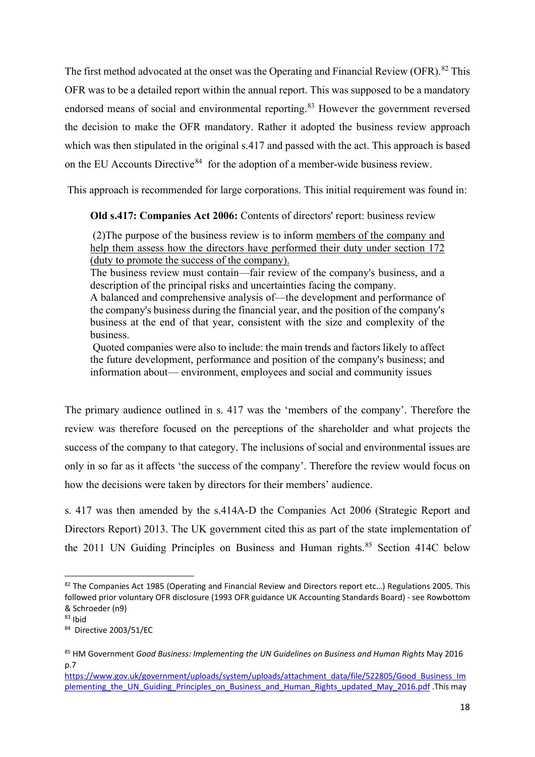The first method advocated at the onset was the Operating and Financial Review (OFR).<sup>[82](#page-17-0)</sup> This OFR was to be a detailed report within the annual report. This was supposed to be a mandatory endorsed means of social and environmental reporting.<sup>[83](#page-17-1)</sup> However the government reversed the decision to make the OFR mandatory. Rather it adopted the business review approach which was then stipulated in the original s.417 and passed with the act. This approach is based on the EU Accounts Directive<sup>[84](#page-17-2)</sup> for the adoption of a member-wide business review.

This approach is recommended for large corporations. This initial requirement was found in:

## **Old s.417: Companies Act 2006:** Contents of directors' report: business review

(2)The purpose of the business review is to inform members of the company and help them assess how the directors have performed their duty under section 172 (duty to promote the success of the company).

The business review must contain—fair review of the company's business, and a description of the principal risks and uncertainties facing the company.

A balanced and comprehensive analysis of—the development and performance of the company's business during the financial year, and the position of the company's business at the end of that year, consistent with the size and complexity of the business.

Quoted companies were also to include: the main trends and factors likely to affect the future development, performance and position of the company's business; and information about— environment, employees and social and community issues

The primary audience outlined in s. 417 was the 'members of the company'. Therefore the review was therefore focused on the perceptions of the shareholder and what projects the success of the company to that category. The inclusions of social and environmental issues are only in so far as it affects 'the success of the company'. Therefore the review would focus on how the decisions were taken by directors for their members' audience.

s. 417 was then amended by the s.414A-D the Companies Act 2006 (Strategic Report and Directors Report) 2013. The UK government cited this as part of the state implementation of the 2011 UN Guiding Principles on Business and Human rights.<sup>[85](#page-17-3)</sup> Section 414C below

<span id="page-17-0"></span><sup>82</sup> The Companies Act 1985 (Operating and Financial Review and Directors report etc...) Regulations 2005. This followed prior voluntary OFR disclosure (1993 OFR guidance UK Accounting Standards Board) - see Rowbottom & Schroeder (n9)

<span id="page-17-1"></span> $83$  Ibid

<span id="page-17-2"></span><sup>84</sup> Directive 2003/51/EC

<span id="page-17-3"></span><sup>85</sup> HM Government *Good Business: Implementing the UN Guidelines on Business and Human Rights May 2016* p.7

[https://www.gov.uk/government/uploads/system/uploads/attachment\\_data/file/522805/Good\\_Business\\_Im](https://www.gov.uk/government/uploads/system/uploads/attachment_data/file/522805/Good_Business_Implementing_the_UN_Guiding_Principles_on_Business_and_Human_Rights_updated_May_2016.pdf) plementing the UN Guiding Principles on Business and Human Rights updated May 2016.pdf .This may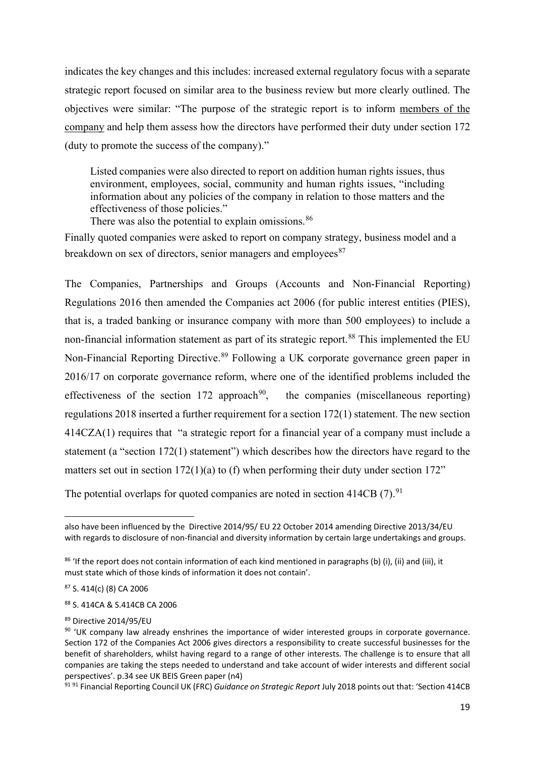indicates the key changes and this includes: increased external regulatory focus with a separate strategic report focused on similar area to the business review but more clearly outlined. The objectives were similar: "The purpose of the strategic report is to inform members of the company and help them assess how the directors have performed their duty under section 172 (duty to promote the success of the company)."

Listed companies were also directed to report on addition human rights issues, thus environment, employees, social, community and human rights issues, "including information about any policies of the company in relation to those matters and the effectiveness of those policies."

There was also the potential to explain omissions.<sup>[86](#page-18-0)</sup>

Finally quoted companies were asked to report on company strategy, business model and a breakdown on sex of directors, senior managers and employees<sup>87</sup>

The Companies, Partnerships and Groups (Accounts and Non-Financial Reporting) Regulations 2016 then amended the Companies act 2006 (for public interest entities (PIES), that is, a traded banking or insurance company with more than 500 employees) to include a non-financial information statement as part of its strategic report.<sup>[88](#page-18-2)</sup> This implemented the EU Non-Financial Reporting Directive.<sup>[89](#page-18-3)</sup> Following a UK corporate governance green paper in 2016/17 on corporate governance reform, where one of the identified problems included the effectiveness of the section 172 approach<sup>90</sup>, the companies (miscellaneous reporting) regulations 2018 inserted a further requirement for a section 172(1) statement. The new section 414CZA(1) requires that "a strategic report for a financial year of a company must include a statement (a "section 172(1) statement") which describes how the directors have regard to the matters set out in section 172(1)(a) to (f) when performing their duty under section 172"

The potential overlaps for quoted companies are noted in section  $414CB$  (7).<sup>[91](#page-18-5)</sup>

<span id="page-18-1"></span><sup>87</sup> S. 414(c) (8) CA 2006

<span id="page-18-2"></span><sup>88</sup> S. 414CA & S.414CB CA 2006

<span id="page-18-3"></span>89 Directive 2014/95/EU

<span id="page-18-5"></span><sup>91</sup> <sup>91</sup> Financial Reporting Council UK (FRC) *Guidance on Strategic Report* July 2018 points out that: 'Section 414CB

also have been influenced by the Directive 2014/95/ EU 22 October 2014 amending Directive 2013/34/EU with regards to disclosure of non-financial and diversity information by certain large undertakings and groups.

<span id="page-18-0"></span> $86$  'If the report does not contain information of each kind mentioned in paragraphs (b) (i), (ii) and (iii), it must state which of those kinds of information it does not contain'.

<span id="page-18-4"></span><sup>&</sup>lt;sup>90</sup> 'UK company law already enshrines the importance of wider interested groups in corporate governance. Section 172 of the Companies Act 2006 gives directors a responsibility to create successful businesses for the benefit of shareholders, whilst having regard to a range of other interests. The challenge is to ensure that all companies are taking the steps needed to understand and take account of wider interests and different social perspectives'. p.34 see UK BEIS Green paper (n4)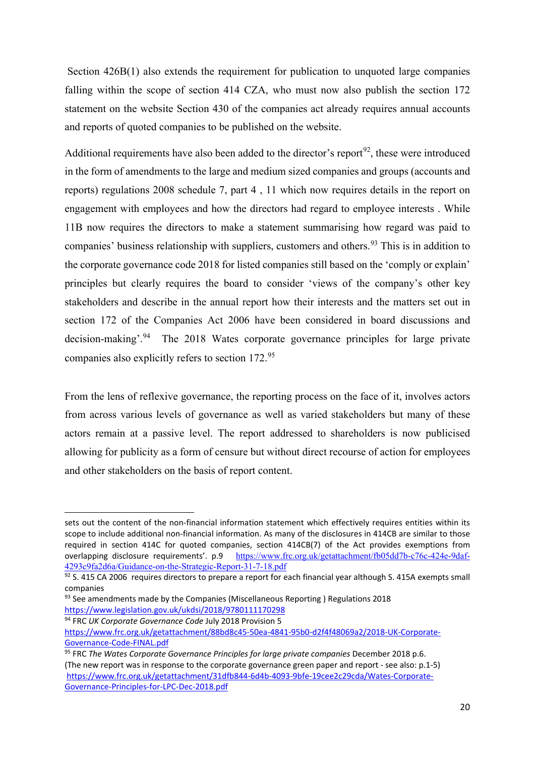Section 426B(1) also extends the requirement for publication to unquoted large companies falling within the scope of section 414 CZA, who must now also publish the section 172 statement on the website Section 430 of the companies act already requires annual accounts and reports of quoted companies to be published on the website.

Additional requirements have also been added to the director's report<sup>[92](#page-19-0)</sup>, these were introduced in the form of amendments to the large and medium sized companies and groups (accounts and reports) regulations 2008 schedule 7, part 4 , 11 which now requires details in the report on engagement with employees and how the directors had regard to employee interests . While 11B now requires the directors to make a statement summarising how regard was paid to companies' business relationship with suppliers, customers and others.<sup>[93](#page-19-1)</sup> This is in addition to the corporate governance code 2018 for listed companies still based on the 'comply or explain' principles but clearly requires the board to consider 'views of the company's other key stakeholders and describe in the annual report how their interests and the matters set out in section 172 of the Companies Act 2006 have been considered in board discussions and decision-making'.<sup>[94](#page-19-2)</sup> The 2018 Wates corporate governance principles for large private companies also explicitly refers to section 172. [95](#page-19-3)

From the lens of reflexive governance, the reporting process on the face of it, involves actors from across various levels of governance as well as varied stakeholders but many of these actors remain at a passive level. The report addressed to shareholders is now publicised allowing for publicity as a form of censure but without direct recourse of action for employees and other stakeholders on the basis of report content.

sets out the content of the non-financial information statement which effectively requires entities within its scope to include additional non-financial information. As many of the disclosures in 414CB are similar to those required in section 414C for quoted companies, section 414CB(7) of the Act provides exemptions from overlapping disclosure requirements'. p.9 [https://www.frc.org.uk/getattachment/fb05dd7b-c76c-424e-9daf-](https://www.frc.org.uk/getattachment/fb05dd7b-c76c-424e-9daf-4293c9fa2d6a/Guidance-on-the-Strategic-Report-31-7-18.pdf)[4293c9fa2d6a/Guidance-on-the-Strategic-Report-31-7-18.pdf](https://www.frc.org.uk/getattachment/fb05dd7b-c76c-424e-9daf-4293c9fa2d6a/Guidance-on-the-Strategic-Report-31-7-18.pdf)

<span id="page-19-0"></span> $92$  S. 415 CA 2006 requires directors to prepare a report for each financial year although S. 415A exempts small companies

<span id="page-19-1"></span> $93$  See amendments made by the Companies (Miscellaneous Reporting) Regulations 2018 <https://www.legislation.gov.uk/ukdsi/2018/9780111170298>

<span id="page-19-2"></span><sup>94</sup> FRC *UK Corporate Governance Code* July 2018 Provision 5 [https://www.frc.org.uk/getattachment/88bd8c45-50ea-4841-95b0-d2f4f48069a2/2018-UK-Corporate-](https://www.frc.org.uk/getattachment/88bd8c45-50ea-4841-95b0-d2f4f48069a2/2018-UK-Corporate-Governance-Code-FINAL.pdf)[Governance-Code-FINAL.pdf](https://www.frc.org.uk/getattachment/88bd8c45-50ea-4841-95b0-d2f4f48069a2/2018-UK-Corporate-Governance-Code-FINAL.pdf)

<span id="page-19-3"></span><sup>95</sup> FRC *The Wates Corporate Governance Principles for large private companies* December 2018 p.6. (The new report was in response to the corporate governance green paper and report - see also: p.1-5) [https://www.frc.org.uk/getattachment/31dfb844-6d4b-4093-9bfe-19cee2c29cda/Wates-Corporate-](https://www.frc.org.uk/getattachment/31dfb844-6d4b-4093-9bfe-19cee2c29cda/Wates-Corporate-Governance-Principles-for-LPC-Dec-2018.pdf)[Governance-Principles-for-LPC-Dec-2018.pdf](https://www.frc.org.uk/getattachment/31dfb844-6d4b-4093-9bfe-19cee2c29cda/Wates-Corporate-Governance-Principles-for-LPC-Dec-2018.pdf)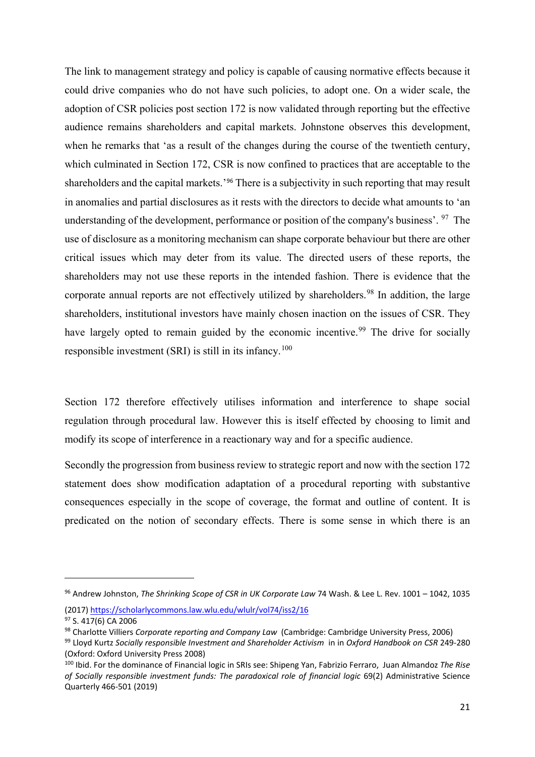The link to management strategy and policy is capable of causing normative effects because it could drive companies who do not have such policies, to adopt one. On a wider scale, the adoption of CSR policies post section 172 is now validated through reporting but the effective audience remains shareholders and capital markets. Johnstone observes this development, when he remarks that 'as a result of the changes during the course of the twentieth century, which culminated in Section 172, CSR is now confined to practices that are acceptable to the shareholders and the capital markets.'[96](#page-20-0) There is a subjectivity in such reporting that may result in anomalies and partial disclosures as it rests with the directors to decide what amounts to 'an understanding of the development, performance or position of the company's business'. <sup>[97](#page-20-1)</sup> The use of disclosure as a monitoring mechanism can shape corporate behaviour but there are other critical issues which may deter from its value. The directed users of these reports, the shareholders may not use these reports in the intended fashion. There is evidence that the corporate annual reports are not effectively utilized by shareholders.<sup>[98](#page-20-2)</sup> In addition, the large shareholders, institutional investors have mainly chosen inaction on the issues of CSR. They have largely opted to remain guided by the economic incentive.<sup>[99](#page-20-3)</sup> The drive for socially responsible investment (SRI) is still in its infancy.<sup>[100](#page-20-4)</sup>

Section 172 therefore effectively utilises information and interference to shape social regulation through procedural law. However this is itself effected by choosing to limit and modify its scope of interference in a reactionary way and for a specific audience.

Secondly the progression from business review to strategic report and now with the section 172 statement does show modification adaptation of a procedural reporting with substantive consequences especially in the scope of coverage, the format and outline of content. It is predicated on the notion of secondary effects. There is some sense in which there is an

<span id="page-20-0"></span><sup>96</sup> Andrew Johnston, *The Shrinking Scope of CSR in UK Corporate Law* 74 Wash. & Lee L. Rev. 1001 – 1042, 1035 (2017) <https://scholarlycommons.law.wlu.edu/wlulr/vol74/iss2/16>

<span id="page-20-2"></span><span id="page-20-1"></span><sup>&</sup>lt;sup>97</sup> S. 417(6) CA 2006<br><sup>98</sup> Charlotte Villiers *Corporate reporting and Company Law* (Cambridge: Cambridge University Press, 2006)

<span id="page-20-3"></span><sup>99</sup> Lloyd Kurtz *Socially responsible Investment and Shareholder Activism* in in *Oxford Handbook on CSR* 249-280

<span id="page-20-4"></span><sup>&</sup>lt;sup>100</sup> Ibid. For the dominance of Financial logic in SRIs see: Shipeng Yan, Fabrizio Ferraro, Juan Almandoz The Rise *of Socially responsible investment funds: The paradoxical role of financial logic* 69(2) Administrative Science Quarterly 466-501 (2019)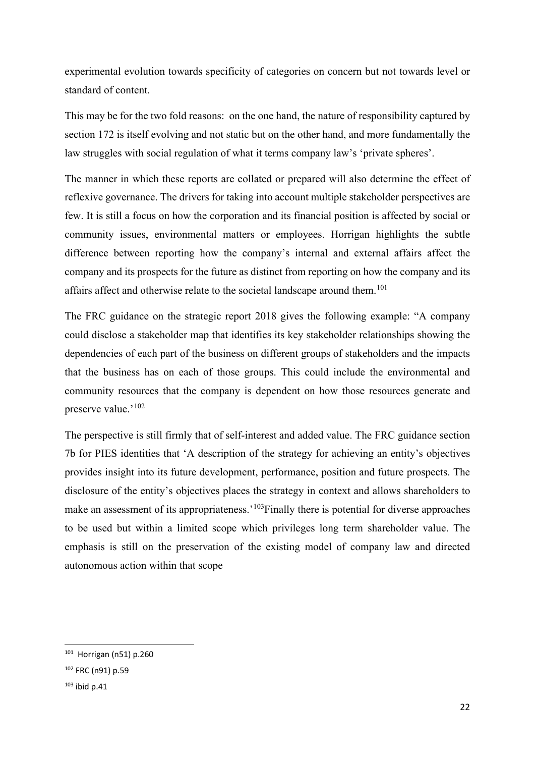experimental evolution towards specificity of categories on concern but not towards level or standard of content.

This may be for the two fold reasons: on the one hand, the nature of responsibility captured by section 172 is itself evolving and not static but on the other hand, and more fundamentally the law struggles with social regulation of what it terms company law's 'private spheres'.

The manner in which these reports are collated or prepared will also determine the effect of reflexive governance. The drivers for taking into account multiple stakeholder perspectives are few. It is still a focus on how the corporation and its financial position is affected by social or community issues, environmental matters or employees. Horrigan highlights the subtle difference between reporting how the company's internal and external affairs affect the company and its prospects for the future as distinct from reporting on how the company and its affairs affect and otherwise relate to the societal landscape around them.<sup>[101](#page-21-0)</sup>

The FRC guidance on the strategic report 2018 gives the following example: "A company could disclose a stakeholder map that identifies its key stakeholder relationships showing the dependencies of each part of the business on different groups of stakeholders and the impacts that the business has on each of those groups. This could include the environmental and community resources that the company is dependent on how those resources generate and preserve value.'<sup>[102](#page-21-1)</sup>

The perspective is still firmly that of self-interest and added value. The FRC guidance section 7b for PIES identities that 'A description of the strategy for achieving an entity's objectives provides insight into its future development, performance, position and future prospects. The disclosure of the entity's objectives places the strategy in context and allows shareholders to make an assessment of its appropriateness.<sup>'[103](#page-21-2)</sup>Finally there is potential for diverse approaches to be used but within a limited scope which privileges long term shareholder value. The emphasis is still on the preservation of the existing model of company law and directed autonomous action within that scope

<span id="page-21-0"></span><sup>101</sup> Horrigan (n51) p.260

<span id="page-21-1"></span><sup>102</sup> FRC (n91) p.59

<span id="page-21-2"></span> $103$  ibid p.41